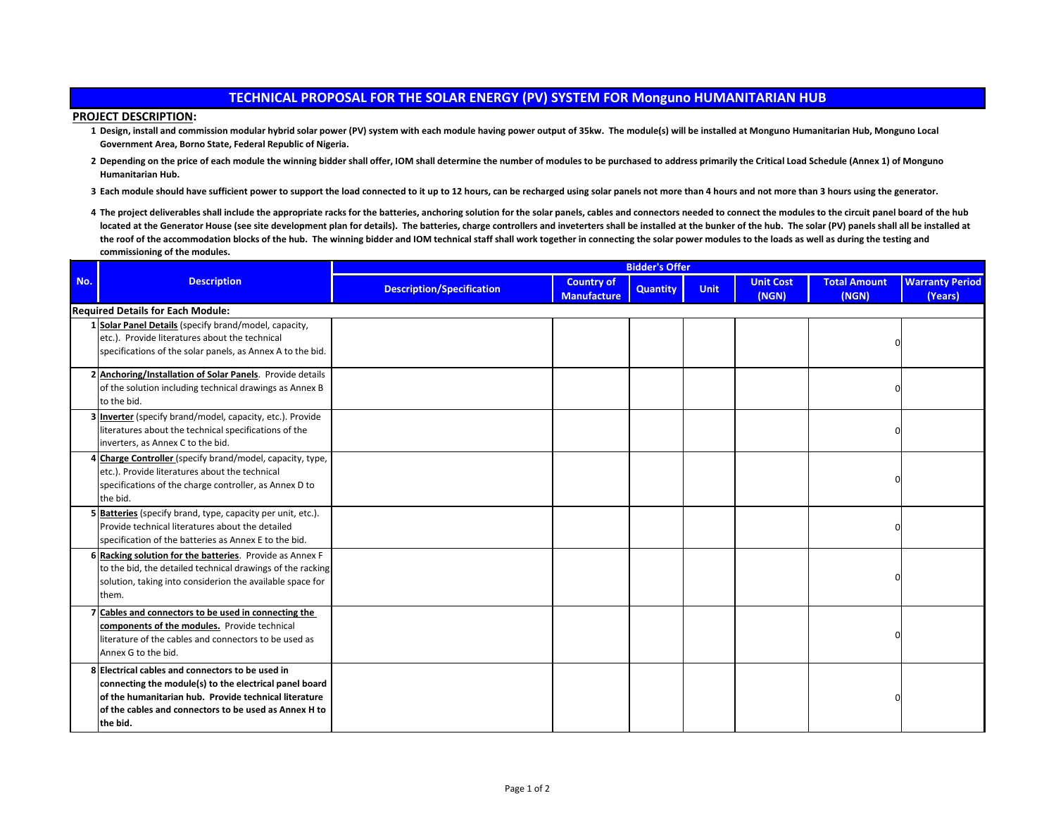## **TECHNICAL PROPOSAL FOR THE SOLAR ENERGY (PV) SYSTEM FOR Monguno HUMANITARIAN HUB**

## **PROJECT DESCRIPTION:**

- **1 Design, install and commission modular hybrid solar power (PV) system with each module having power output of 35kw. The module(s) will be installed at Monguno Humanitarian Hub, Monguno Local Government Area, Borno State, Federal Republic of Nigeria.**
- **2 Depending on the price of each module the winning bidder shall offer, IOM shall determine the number of modules to be purchased to address primarily the Critical Load Schedule (Annex 1) of Monguno Humanitarian Hub.**
- **3 Each module should have sufficient power to support the load connected to it up to 12 hours, can be recharged using solar panels not more than 4 hours and not more than 3 hours using the generator.**
- 4 The project deliverables shall include the appropriate racks for the batteries, anchoring solution for the solar panels, cables and connectors needed to connect the modules to the circuit panel board of the hub located at the Generator House (see site development plan for details). The batteries, charge controllers and inveterters shall be installed at the bunker of the hub. The solar (PV) panels shall all be installed at **the roof of the accommodation blocks of the hub. The winning bidder and IOM technical staff shall work together in connecting the solar power modules to the loads as well as during the testing and commissioning of the modules.**

|     |                                                                                                                                                                                                                                          | <b>Bidder's Offer</b>            |                                         |                 |             |                           |                              |                                   |
|-----|------------------------------------------------------------------------------------------------------------------------------------------------------------------------------------------------------------------------------------------|----------------------------------|-----------------------------------------|-----------------|-------------|---------------------------|------------------------------|-----------------------------------|
| No. | <b>Description</b>                                                                                                                                                                                                                       | <b>Description/Specification</b> | <b>Country of</b><br><b>Manufacture</b> | <b>Quantity</b> | <b>Unit</b> | <b>Unit Cost</b><br>(NGN) | <b>Total Amount</b><br>(NGN) | <b>Warranty Period</b><br>(Years) |
|     | <b>Required Details for Each Module:</b>                                                                                                                                                                                                 |                                  |                                         |                 |             |                           |                              |                                   |
|     | 1 Solar Panel Details (specify brand/model, capacity,<br>etc.). Provide literatures about the technical<br>specifications of the solar panels, as Annex A to the bid.                                                                    |                                  |                                         |                 |             |                           |                              |                                   |
|     | 2 Anchoring/Installation of Solar Panels. Provide details<br>of the solution including technical drawings as Annex B<br>to the bid.                                                                                                      |                                  |                                         |                 |             |                           |                              |                                   |
|     | Inverter (specify brand/model, capacity, etc.). Provide<br>literatures about the technical specifications of the<br>inverters, as Annex C to the bid.                                                                                    |                                  |                                         |                 |             |                           | ŋ                            |                                   |
|     | Charge Controller (specify brand/model, capacity, type,<br>etc.). Provide literatures about the technical<br>specifications of the charge controller, as Annex D to<br>the bid.                                                          |                                  |                                         |                 |             |                           |                              |                                   |
|     | 5 Batteries (specify brand, type, capacity per unit, etc.).<br>Provide technical literatures about the detailed<br>specification of the batteries as Annex E to the bid.                                                                 |                                  |                                         |                 |             |                           |                              |                                   |
|     | 6 Racking solution for the batteries. Provide as Annex F<br>to the bid, the detailed technical drawings of the racking<br>solution, taking into considerion the available space for<br>them.                                             |                                  |                                         |                 |             |                           |                              |                                   |
|     | 7 Cables and connectors to be used in connecting the<br>components of the modules. Provide technical<br>literature of the cables and connectors to be used as<br>Annex G to the bid.                                                     |                                  |                                         |                 |             |                           |                              |                                   |
|     | 8 Electrical cables and connectors to be used in<br>connecting the module(s) to the electrical panel board<br>of the humanitarian hub. Provide technical literature<br>of the cables and connectors to be used as Annex H to<br>the bid. |                                  |                                         |                 |             |                           |                              |                                   |